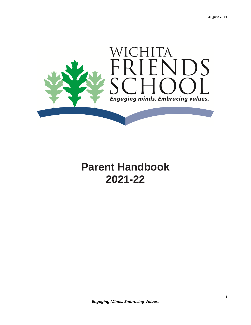

# **Parent Handbook 2021-22**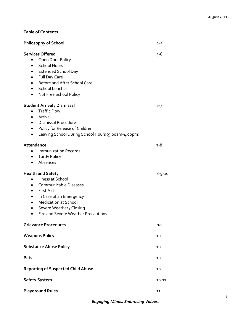# **Table of Contents**

| <b>Philosophy of School</b>                                                                                                                                                                                                                                          | $4 - 5$   |
|----------------------------------------------------------------------------------------------------------------------------------------------------------------------------------------------------------------------------------------------------------------------|-----------|
| <b>Services Offered</b><br>Open Door Policy<br>• School Hours<br>• Extended School Day<br>Full Day Care<br>Before and After School Care<br><b>School Lunches</b><br>$\bullet$<br>Nut Free School Policy<br>٠                                                         | $5 - 6$   |
| <b>Student Arrival / Dismissal</b><br><b>Traffic Flow</b><br>Arrival<br>$\bullet$<br><b>Dismissal Procedure</b><br>$\bullet$<br>Policy for Release of Children<br>$\bullet$<br>Leaving School During School Hours (9:00am-4:00pm)<br>$\bullet$                       | $6 - 7$   |
| Attendance<br><b>Immunization Records</b><br>• Tardy Policy<br>Absences<br>$\bullet$                                                                                                                                                                                 | 7-8       |
| <b>Health and Safety</b><br>Illness at School<br>Communicable Diseases<br>First Aid<br>$\bullet$<br>In Case of an Emergency<br><b>Medication at School</b><br>$\bullet$<br>Severe Weather / Closing<br>$\bullet$<br>Fire and Severe Weather Precautions<br>$\bullet$ | 8-9-10    |
| <b>Grievance Procedures</b>                                                                                                                                                                                                                                          | 10        |
| <b>Weapons Policy</b>                                                                                                                                                                                                                                                | 10        |
| <b>Substance Abuse Policy</b>                                                                                                                                                                                                                                        | 10        |
| Pets                                                                                                                                                                                                                                                                 | 10        |
| <b>Reporting of Suspected Child Abuse</b>                                                                                                                                                                                                                            | 10        |
| <b>Safety System</b>                                                                                                                                                                                                                                                 | $10 - 11$ |
| <b>Playground Rules</b>                                                                                                                                                                                                                                              | 11        |

2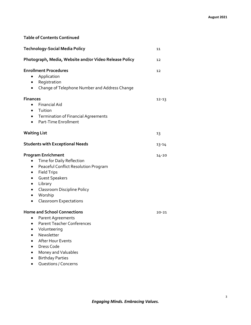# **Table of Contents Continued**

| <b>Technology-Social Media Policy</b>                                                                                                                                                                                                                                                    | 11        |
|------------------------------------------------------------------------------------------------------------------------------------------------------------------------------------------------------------------------------------------------------------------------------------------|-----------|
| Photograph, Media, Website and/or Video Release Policy                                                                                                                                                                                                                                   | 12        |
| <b>Enrollment Procedures</b><br>Application<br>Registration<br>٠<br>Change of Telephone Number and Address Change<br>٠                                                                                                                                                                   | 12        |
| <b>Finances</b><br><b>Financial Aid</b><br>$\bullet$<br>Tuition<br>٠<br><b>Termination of Financial Agreements</b><br>$\bullet$<br>Part-Time Enrollment<br>$\bullet$                                                                                                                     | $12 - 13$ |
| <b>Waiting List</b>                                                                                                                                                                                                                                                                      | 13        |
| <b>Students with Exceptional Needs</b>                                                                                                                                                                                                                                                   | $13 - 14$ |
| <b>Program Enrichment</b><br>Time for Daily Reflection<br>Peaceful Conflict Resolution Program<br>٠<br><b>Field Trips</b><br>٠<br><b>Guest Speakers</b><br>Library<br>$\bullet$<br><b>Classroom Discipline Policy</b><br>$\bullet$<br>Worship<br>٠<br><b>Classroom Expectations</b><br>٠ | $14 - 20$ |
| <b>Home and School Connections</b><br>Parent Agreements<br><b>Parent Teacher Conferences</b><br>Volunteering<br>Newsletter<br><b>After Hour Events</b><br>Dress Code<br>Money and Valuables<br><b>Birthday Parties</b>                                                                   | 20-21     |

Questions / Concerns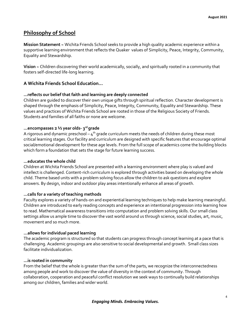# **Philosophy of School**

**Mission Statement ~** Wichita Friends School seeks to provide a high quality academic experience within a supportive learning environment that reflects the Quaker values of Simplicity, Peace, Integrity, Community, Equality and Stewardship.

**Vision ~** Children discovering their world academically, socially, and spiritually rooted in a community that fosters self-directed life-long learning.

# **A Wichita Friends School Education…**

### **...reflects our belief that faith and learning are deeply connected**

Children are guided to discover their own unique gifts through spiritual reflection. Character development is shaped through the emphasis of Simplicity, Peace, Integrity, Community, Equality and Stewardship. These values and practices of Wichita Friends School are rooted in those of the Religious Society of Friends. Students and families of all faiths or none are welcome.

#### **…encompasses 2 ½ year olds- 3 rd grade**

A rigorous and dynamic preschool –  $\boldsymbol{4}^\text{th}$  grade curriculum meets the needs of children during these most critical learning stages. Our facility and curriculum are designed with specific features that encourage optimal social/emotional development for these age levels. From the full scope of academics come the building blocks which form a foundation that sets the stage for future learning success.

#### **…educates the whole child**

Children at Wichita Friends School are presented with a learning environment where play is valued and intellect is challenged. Content-rich curriculum is explored through activities based on developing the whole child. Theme based units with a problem solving focus allow the children to ask questions and explore answers. By design, indoor and outdoor play areas intentionally enhance all areas of growth.

#### **…calls for a variety of teaching methods**

Faculty explores a variety of hands-on and experiential learning techniques to help make learning meaningful. Children are introduced to early reading concepts and experience an intentional progression into learning how to read. Mathematical awareness transitions into computation and problem solving skills. Our small class settings allow us ample time to discover the vast world around us through science, social studies, art, music, movement and so much more.

#### **...allows for individual paced learning**

The academic program is structured so that students can progress through concept learning at a pace that is challenging. Academic groupings are also sensitive to social developmental and growth. Small class sizes facilitate individualization.

#### **…is rooted in community**

From the belief that the whole is greater than the sum of the parts, we recognize the interconnectedness among people and work to discover the value of diversity in the context of community. Through collaboration, cooperation and peaceful conflict resolution we seek ways to continually build relationships among our children, families and wider world.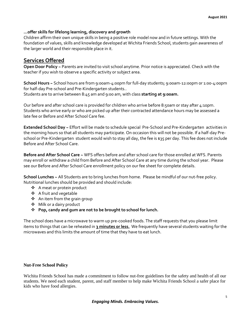## **…offer skills for lifelong learning, discovery and growth**

Children affirm their own unique skills in being a positive role model now and in future settings. With the foundation of values, skills and knowledge developed at Wichita Friends School, students gain awareness of the larger world and their responsible place in it.

# **Services Offered**

**Open Door Policy ~** Parents are invited to visit school anytime. Prior notice is appreciated. Check with the teacher if you wish to observe a specific activity or subject area.

**School Hours ~** School hours are from 9:00am-4:00pm for full-day students; 9:00am-12:00pm or 1:00-4:00pm for half-day Pre-school and Pre-Kindergarten students..

Students are to arrive between 8:45 am and 9:00 am, with class **starting at 9:00am.**

Our before and after school care is provided for children who arrive before 8:50am or stay after 4:10pm. Students who arrive early or who are picked up after their contracted attendance hours may be assessed a late fee or Before and After School Care fee.

**Extended School Day ~** Effort will be made to schedule special Pre-School and Pre-Kindergarten activities in the morning hours so that all students may participate. On occasion this will not be possible. If a half-day Preschool or Pre-Kindergarten student would wish to stay all day, the fee is \$35 per day. This fee does not include Before and After School Care.

**Before and After School Care ~** WFS offers before and after school care for those enrolled at WFS. Parents may enroll or withdraw a child from Before and After School Care at any time during the school year. Please see our Before and After School Care enrollment policy on our fee sheet for complete details.

**School Lunches ~** All Students are to bring lunches from home. Please be mindful of our nut-free policy. Nutritional lunches should be provided and should include:

- A meat or protein product
- A fruit and vegetable
- An item from the grain group
- ❖ Milk or a dairy product
- **Pop, candy and gum are not to be brought to school for lunch.**

The school does have a microwave to warm up pre-cooked foods. The staff requests that you please limit items to things that can be reheated in **3 minutes or less.** We frequently have several students waiting for the microwaves and this limits the amount of time that they have to eat lunch.

### **Nut-Free School Policy**

Wichita Friends School has made a commitment to follow nut-free guidelines for the safety and health of all our students. We need each student, parent, and staff member to help make Wichita Friends School a safer place for kids who have food allergies.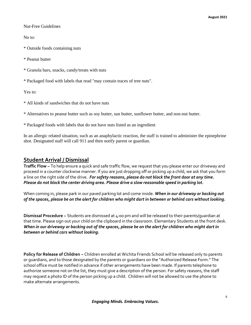Nut-Free Guidelines

No to:

\* Outside foods containing nuts

\* Peanut butter

\* Granola bars, snacks, candy/treats with nuts

\* Packaged food with labels that read "may contain traces of tree nuts".

Yes to:

\* All kinds of sandwiches that do not have nuts

\* Alternatives to peanut butter such as soy butter, sun butter, sunflower butter, and non-nut butter.

\* Packaged foods with labels that do not have nuts listed as an ingredient

In an allergic related situation, such as an anaphylactic reaction, the staff is trained to administer the epinephrine shot. Designated staff will call 911 and then notify parent or guardian.

# **Student Arrival / Dismissal**

**Traffic Flow ~** To help ensure a quick and safe traffic flow, we request that you please enter our driveway and proceed in a counter clockwise manner. If you are just dropping off or picking up a child, we ask that you form a line on the right side of the drive. *For safety reasons, please do not block the front door at any time. Please do not block the center driving area. Please drive a slow reasonable speed in parking lot.*

When coming in, please park in our paved parking lot and come inside. *When in our driveway or backing out of the spaces, please be on the alert for children who might dart in between or behind cars without looking.*

**Dismissal Procedure ~** Students are dismissed at 4:00 pm and will be released to their parents/guardian at that time. Please sign out your child on the clipboard in the classroom. Elementary Students at the front desk. *When in our driveway or backing out of the spaces, please be on the alert for children who might dart in between or behind cars without looking.*

**Policy for Release of Children ~** Children enrolled at Wichita Friends School will be released only to parents or guardians, and to those designated by the parents or guardians on the "Authorized Release Form." The school office must be notified in advance if other arrangements have been made. If parents telephone to authorize someone not on the list, they must give a description of the person. For safety reasons, the staff may request a photo ID of the person picking up a child. Children will not be allowed to use the phone to make alternate arrangements.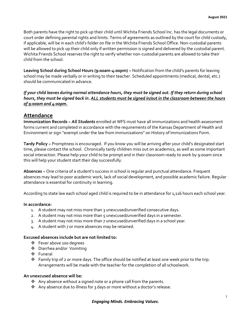Both parents have the right to pick up their child until Wichita Friends School Inc. has the legal documents or court order defining parental rights and limits. Terms of agreements as outlined by the court for child custody, if applicable, will be in each child's folder on file in the Wichita Friends School Office. Non-custodial parents will be allowed to pick up their child only if written permission is signed and delivered by the custodial parent. Wichita Friends School reserves the right to verify whether non-custodial parents are allowed to take their child from the school.

**Leaving School during School Hours (9:00am-4:00pm) ~** Notification from the child's parents for leaving school may be made verbally or in writing to their teacher. Scheduled appointments (medical, dental, etc.) should be communicated in advance.

*If your child leaves during normal attendance hours, they must be signed out. If they return during school hours, they must be signed back in. ALL students must be signed in/out in the classroom between the hours of 9:00am and 4:00pm.*

## **Attendance**

**Immunization Records ~** *All Students* enrolled at WFS must have all immunizations and health assessment forms current and completed in accordance with the requirements of the Kansas Department of Health and Environment or sign "exempt under the law from immunizations" on History of Immunizations Form.

**Tardy Policy ~** Promptness is encouraged. If you know you will be arriving after your child's designated start time, please contact the school. Chronically tardy children miss out on academics, as well as some important social interaction. Please help your child to be prompt and in their classroom ready to work by 9:00am since this will help your student start their day successfully.

**Absences ~** One criteria of a student's success in school is regular and punctual attendance. Frequent absences may lead to poor academic work, lack of social development, and possible academic failure. Regular attendance is essential for continuity in learning.

According to state law each school aged child is required to be in attendance for 1,116 hours each school year.

#### **In accordance:**

- 1. A student may not miss more than 3 unexcused/unverified consecutive days.
- 2. A student may not miss more than 5 unexcused/unverified days in a semester.
- 3. A student may not miss more than 7 unexcused/unverified days in a school year.
- 4. A student with 7 or more absences may be retained.

#### **Excused absences include but are not limited to:**

- Fever above 100 degrees
- Diarrhea and/or Vomiting
- Funeral
- $\clubsuit$  Family trip of 2 or more days. The office should be notified at least one week prior to the trip. Arrangements will be made with the teacher for the completion of all schoolwork.

#### **An unexcused absence will be:**

- $\clubsuit$  Any absence without a signed note or a phone call from the parents.
- Any absence due to illness for 3 days or more without a doctor's release.

#### *Engaging Minds. Embracing Values.*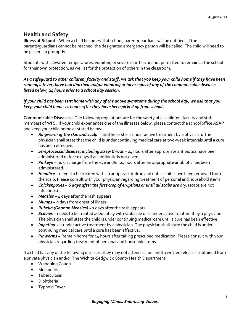# **Health and Safety**

**Illness at School ~** When a child becomes ill at school, parent/guardians will be notified. If the parents/guardians cannot be reached, the designated emergency person will be called. The child will need to be picked up promptly.

Students with elevated temperatures, vomiting or severe diarrhea are not permitted to remain at the school for their own protection, as well as for the protection of others in the classroom.

# *As a safeguard to other children, faculty and staff, we ask that you keep your child home if they have been running a fever, have had diarrhea and/or vomiting or have signs of any of the communicable diseases listed below, 24 hours prior to a school day session.*

# *If your child has been sent home with any of the above symptoms during the school day, we ask that you keep your child home 24 hours after they have been picked up from school.*

**Communicable Diseases ~** The following regulations are for the safety of all children, faculty and staff members of WFS. If your child experiences one of the illnesses below, please contact the school office ASAP and keep your child home as stated below:

- *Ringworm of the skin and scalp* ~ until he or she is under active treatment by a physician. The physician shall state that the child is under continuing medical care at two-week intervals until a cure has been effective.
- *Streptococcal disease, including strep-throat* ~ 24 hours after appropriate antibiotics have been administered or for 10 days if an antibiotic is not given.
- *Pinkeye ~* no discharge from the eye and/or 24 hours after an appropriate antibiotic has been administered.
- *Headlice ~* needs to be treated with an antiparasitic drug and until all nits have been removed from the scalp. Please consult with your physician regarding treatment of personal and household items.
- *Chickenpoxes ~ 6 days after the first crop of eruptions or until all scabs are* dry. (scabs are not infectious)
- **Measles** ~ 4 days after the rash appears.
- *Mumps ~* 9 days from onset of illness.
- *Rubella (German Measles) ~* 7 days after the rash appears.
- *Scabies ~* needs to be treated adequately with scabicide or is under active treatment by a physician. The physician shall state the child is under continuing medical care until a cure has been effective.
- *Impetigo* ~ is under active treatment by a physician. The physician shall state the child is under continuing medical care until a cure has been effective.
- *Pinworms ~* Remain home for 24 hours after taking prescribed medication. Please consult with your physician regarding treatment of personal and household items.

If a child has any of the following diseases, they may not attend school until a written release is obtained from a private physician and/or The Wichita-Sedgwick County Health Department:

- Whooping Cough
- Meningitis
- **•** Tuberculosis
- Diphtheria
- Typhoid Fever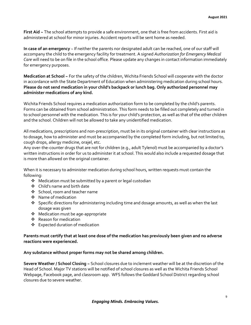**First Aid ~** The school attempts to provide a safe environment, one that is free from accidents. First aid is administered at school for minor injuries. Accident reports will be sent home as needed.

**In case of an emergency** ~ If neither the parents nor designated adult can be reached, one of our staff will accompany the child to the emergency facility for treatment. A signed *Authorization for Emergency Medical Care* will need to be on file in the school office. Please update any changes in contact information immediately for emergency purposes.

**Medication at School ~** For the safety of the children, Wichita Friends School will cooperate with the doctor in accordance with the State Department of Education when administering medication during school hours. **Please do not send medication in your child's backpack or lunch bag. Only authorized personnel may administer medications of any kind.**

Wichita Friends School requires a medication authorization form to be completed by the child's parents. Forms can be obtained from school administration. This form needs to be filled out completely and turned in to school personnel with the medication. This is for your child's protection, as well as that of the other children and the school. Children will not be allowed to take any unidentified medication.

All medications, prescriptions and non-prescription, must be in its original container with clear instructions as to dosage, how to administer and must be accompanied by the completed form including, but not limited to, cough drops, allergy medicine, orajel, etc.

Any over-the-counter drugs that are not for children (e.g., adult Tylenol) must be accompanied by a doctor's written instructions in order for us to administer it at school. This would also include a requested dosage that is more than allowed on the original container.

When it is necessary to administer medication during school hours, written requests must contain the following:

- Medication must be submitted by a parent or legal custodian
- Child's name and birth date
- School, room and teacher name
- ❖ Name of medication
- Specific directions for administering including time and dosage amounts, as well as when the last dosage was given
- Medication must be age-appropriate
- ❖ Reason for medication
- Expected duration of medication

#### **Parents must certify that at least one dose of the medication has previously been given and no adverse reactions were experienced.**

#### **Any substance without proper forms may not be shared among children.**

**Severe Weather / School Closing ~** School closures due to inclement weather will be at the discretion of the Head of School. Major TV stations will be notified of school closures as well as the Wichita Friends School Webpage, Facebook page, and classroom app. WFS follows the Goddard School District regarding school closures due to severe weather.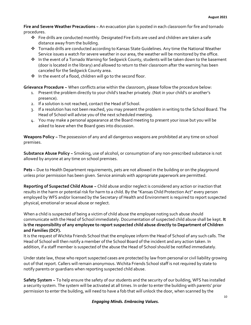**Fire and Severe Weather Precautions ~** An evacuation plan is posted in each classroom for fire and tornado procedures.

- $\div$  Fire drills are conducted monthly. Designated Fire Exits are used and children are taken a safe distance away from the building.
- Tornado drills are conducted according to Kansas State Guidelines. Any time the National Weather Service issues a watch for severe weather in our area, the weather will be monitored by the office.
- In the event of a Tornado Warning for Sedgwick County, students will be taken down to the basement (door is located in the library) and allowed to return to their classroom after the warning has been canceled for the Sedgwick County area.
- ❖ In the event of a flood, children will go to the second floor.

**Grievance Procedure ~** When conflicts arise within the classroom, please follow the procedure below:

- 1. Present the problem directly to your child's teacher privately. (Not in your child's or another's presence).
- 2. If a solution is not reached, contact the Head of School.
- 3. If a resolution has not been reached, you may present the problem in writing to the School Board. The Head of School will advise you of the next scheduled meeting.
- 4. You may make a personal appearance at the Board meeting to present your issue but you will be asked to leave when the Board goes into discussion.

**Weapons Policy ~** The possession of any and all dangerous weapons are prohibited at any time on school premises.

**Substance Abuse Policy ~** Smoking, use of alcohol, or consumption of any non-prescribed substance is not allowed by anyone at any time on school premises.

**Pets ~** Due to Health Department requirements, pets are not allowed in the building or on the playground unless prior permission has been given. Service animals with appropriate paperwork are permitted.

**Reporting of Suspected Child Abuse ~** Child abuse and/or neglect is considered any action or inaction that results in the harm or potential risk for harm to a child. By the "Kansas Child Protection Act" every person employed by WFS and/or licensed by the Secretary of Health and Environment is required to report suspected physical, emotional or sexual abuse or neglect.

When a child is suspected of being a victim of child abuse the employee noting such abuse should communicate with the Head of School immediately. Documentation of suspected child abuse shall be kept. **It is the responsibility of any employee to report suspected child abuse directly to Department of Children and Families (DCF).**

It is the request of Wichita Friends School that the employee inform the Head of School of any such calls. The Head of School will then notify a member of the School Board of the incident and any action taken. In addition, if a staff member is suspected of the abuse the Head of School should be notified immediately.

Under state law, those who report suspected cases are protected by law from personal or civil liability growing out of that report. Callers will remain anonymous. Wichita Friends School staff is not required by state to notify parents or guardians when reporting suspected child abuse.

**Safety System ~** To help ensure the safety of our students and the security of our building, WFS has installed a security system. The system will be activated at all times. In order to enter the building with parents' prior permission to enter the building, will need to have a fob that will unlock the door, when scanned by the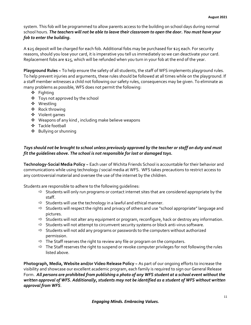system. This fob will be programmed to allow parents access to the building on school days during normal school hours. *The teachers will not be able to leave their classroom to open the door. You must have your fob to enter the building.*

A \$25 deposit will be charged for each fob. Additional fobs may be purchased for \$25 each. For security reasons, should you lose your card, it is imperative you tell us immediately so we can deactivate your card. Replacement fobs are \$25, which will be refunded when you turn in your fob at the end of the year.

**Playground Rules ~** To help ensure the safety of all students, the staff of WFS implements playground rules. To help prevent injuries and arguments, these rules should be followed at all times while on the playground. If a staff member witnesses a child not following our safety rules, consequences may be given. To eliminate as many problems as possible, WFS does not permit the following:

- ❖ Fighting
- Toys not approved by the school
- Wrestling
- Rock throwing
- Violent games
- Weapons of any kind , including make believe weapons
- Tackle football
- Bullying or shunning

# *Toys should not be brought to school unless previously approved by the teacher or staff on duty and must fit the guidelines above. The school is not responsible for lost or damaged toys.*

**Technology-Social Media Policy ~** Each user of Wichita Friends School is accountable for their behavior and communications while using technology / social media at WFS. WFS takes precautions to restrict access to any controversial material and oversee the use of the internet by the children.

Students are responsible to adhere to the following guidelines:

- $\Rightarrow$  Students will only run programs or contact internet sites that are considered appropriate by the staff.
- $\Rightarrow$  Students will use the technology in a lawful and ethical manner.
- $\Rightarrow$  Students will respect the rights and privacy of others and use "school appropriate" language and pictures.
- $\Rightarrow$  Students will not alter any equipment or program, reconfigure, hack or destroy any information.
- $\Rightarrow$  Students will not attempt to circumvent security systems or block anti-virus software.
- $\Rightarrow$  Students will not add any programs or passwords to the computers without authorized permission.
- $\Rightarrow$  The Staff reserves the right to review any file or program on the computers.
- $\Rightarrow$  The Staff reserves the right to suspend or revoke computer privileges for not following the rules listed above.

**Photograph, Media, Website and/or Video Release Policy ~** As part of our ongoing efforts to increase the visibility and showcase our excellent academic program, each family is required to sign our General Release Form. *All persons are prohibited from publishing a photo of any WFS student at a school event without the written approval of WFS. Additionally, students may not be identified as a student of WFS without written approval from WFS*.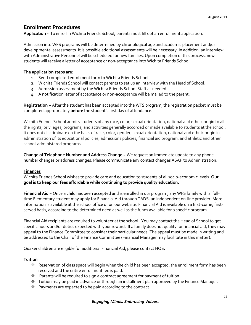# **Enrollment Procedures**

**Application ~** To enroll in Wichita Friends School, parents must fill out an enrollment application.

Admission into WFS programs will be determined by chronological age and academic placement and/or developmental assessments. It is possible additional assessments will be necessary. In addition, an interview with Administrative Personnel will be scheduled for new families. Upon completion of this process, new students will receive a letter of acceptance or non-acceptance into Wichita Friends School.

## **The application steps are:**

- 1. Send completed enrollment form to Wichita Friends School.
- 2. Wichita Friends School will contact parents to set up an interview with the Head of School.
- 3. Admission assessment by the Wichita Friends School Staff as needed.
- 4. A notification letter of acceptance or non-acceptance will be mailed to the parent.

**Registration ~** After the student has been accepted into the WFS program, the registration packet must be completed appropriately **before** the student's first day of attendance.

Wichita Friends School admits students of any race, color, sexual orientation, national and ethnic origin to all the rights, privileges, programs, and activities generally accorded or made available to students at the school. It does not discriminate on the basis of race, color, gender, sexual orientation, national and ethnic origin in administration of its educational policies, admissions policies, financial aid program, and athletic and other school-administered programs.

**Change of Telephone Number and Address Change ~** We request an immediate update to any phone number changes or address changes. Please communicate any contact changes ASAP to Administration.

### **Finances**

Wichita Friends School wishes to provide care and education to students of all socio-economic levels. **Our goal is to keep our fees affordable while continuing to provide quality education.**

**Financial Aid ~** Once a child has been accepted and is enrolled in our program, any WFS family with a fulltime Elementary student may apply for Financial Aid through TADS, an independent on-line provider. More information is available at the school office or on our website. Financial Aid is available on a first-come, firstserved basis, according to the determined need as well as the funds available for a specific program.

Financial Aid recipients are required to volunteer at the school. You may contact the Head of School to get specific hours and/or duties expected with your reward. If a family does not qualify for financial aid, they may appeal to the Finance Committee to consider their particular needs. The appeal must be made in writing and be addressed to the Chair of the Finance Committee (Financial Manager may facilitate in this matter).

Quaker children are eligible for additional Financial Aid, please contact HOS.

# **Tuition**

- Reservation of class space will begin when the child has been accepted, the enrollment form has been received and the entire enrollment fee is paid.
- $\cdot \cdot$  Parents will be required to sign a contract agreement for payment of tuition.
- Tuition may be paid in advance or through an installment plan approved by the Finance Manager.
- $\mathbf{\hat{P}}$  Payments are expected to be paid according to the contract.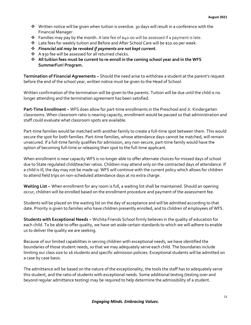- $\cdot \cdot$  Written notice will be given when tuition is overdue. 30 days will result in a conference with the Financial Manager.
- **Families may pay by the month.** A late fee of  $\frac{1}{40}$  to will be assessed if a payment is late.
- Late fees for weekly tuition and Before and After School Care will be \$10.00 per week.
- *Financial aid may be revoked if payments are not kept current.*
- A \$30 fee will be assessed for all returned checks.
- **All tuition fees must be current to re-enroll in the coming school year and in the WFS SummerFun! Program.**

**Termination of Financial Agreements ~** Should the need arise to withdraw a student at the parent's request before the end of the school year, written notice must be given to the Head of School.

Written confirmation of the termination will be given to the parents. Tuition will be due until the child is no longer attending and the termination agreement has been satisfied.

**Part-Time Enrollment ~** WFS does allow for part-time enrollments in the Preschool and Jr. Kindergarten classrooms. When classroom ratio is nearing capacity, enrollment would be paused so that administration and staff could evaluate what classroom spots are available.

Part-time families would be matched with another family to create a full-time spot between them. This would secure the spot for both families. Part-time families, whose attendance days cannot be matched, will remain unsecured. If a full-time family qualifies for admission, any non-secure, part-time family would have the option of becoming full-time or releasing their spot to the full-time applicant.

When enrollment is near capacity WFS is no longer able to offer alternate choices for missed days of school due to State regulated child/teacher ratios. Children may attend only on the contracted days of attendance. If a child is ill, the day may not be made up. WFS will continue with the current policy which allows for children to attend field trips on non-scheduled attendance days at no extra charge.

**Waiting List ~** When enrollment for any room is full, a waiting list shall be maintained. Should an opening occur, children will be enrolled based on the enrollment procedure and payment of the assessment fee.

Students will be placed on the waiting list on the day of acceptance and will be admitted according to that date. Priority is given to families who have children presently enrolled, and to children of employees of WFS.

**Students with Exceptional Needs ~** Wichita Friends School firmly believes in the quality of education for each child. To be able to offer quality, we have set aside certain standards to which we will adhere to enable us to deliver the quality we are seeking.

Because of our limited capabilities in serving children with exceptional needs, we have identified the boundaries of those student needs, so that we may adequately serve each child. The boundaries include limiting our class size to 16 students and specific admission policies. Exceptional students will be admitted on a case by case basis.

The admittance will be based on the nature of the exceptionality, the tools the staff has to adequately serve this student, and the ratio of students with exceptional needs. Some additional testing (testing over and beyond regular admittance testing) may be required to help determine the admissibility of a student.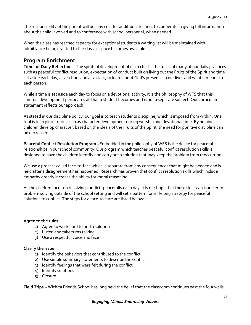The responsibility of the parent will be: any cost for additional testing, to cooperate in giving full information about the child involved and to conference with school personnel, when needed.

When the class has reached capacity for exceptional students a waiting list will be maintained with admittance being granted to the class as space becomes available.

# **Program Enrichment**

**Time for Daily Reflection ~** The spiritual development of each child is the focus of many of our daily practices such as peaceful conflict resolution, expectation of conduct built on living out the Fruits of the Spirit and time set aside each day, as a school and as a class, to learn about God's presence in our lives and what it means to each person.

While a time is set aside each day to focus on a devotional activity, it is the philosophy of WFS that this spiritual development permeates all that a student becomes and is not a separate subject. Our curriculum statement reflects our approach.

As stated in our discipline policy, our goal is to teach students discipline, which is imposed from within. One tool is to explore topics such as character development during worship and devotional time. By helping children develop character, based on the ideals of the Fruits of the Spirit, the need for punitive discipline can be decreased.

**Peaceful Conflict Resolution Program ~**Embedded in the philosophy of WFS is the desire for peaceful relationships in our school community. Our program which teaches peaceful conflict resolution skills is designed to have the children identify and carry out a solution that may keep the problem from reoccurring.

We use a process called face-to-face which is separate from any consequences that might be needed and is held after a disagreement has happened. Research has proven that conflict resolution skills which include empathy greatly increase the ability for moral reasoning.

As the children focus on resolving conflicts peacefully each day, it is our hope that these skills can transfer to problem solving outside of the school setting and will set a pattern for a lifelong strategy for peaceful solutions to conflict. The steps for a face-to-face are listed below:

### **Agree to the rules**

- 1) Agree to work hard to find a solution
- 2) Listen and take turns talking
- 3) Use a respectful voice and face

### **Clarify the issue**

- 1) Identify the behaviors that contributed to the conflict
- 2) Use simple summary statements to describe the conflict
- 3) Identify feelings that were felt during the conflict
- 4) Identify solutions
- 5) Closure

**Field Trips ~** Wichita Friends School has long held the belief that the classroom continues past the four walls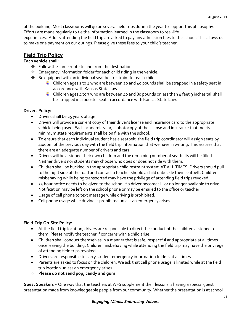of the building. Most classrooms will go on several field trips during the year to support this philosophy. Efforts are made regularly to tie the information learned in the classroom to real-life

experiences. Adults attending the field trip are asked to pay any admission fees to the school. This allows us to make one payment on our outings. Please give these fees to your child's teacher.

# **Field Trip Policy**

## **Each vehicle shall:**

- Follow the same route to and from the destination.
- Emergency information folder for each child riding in the vehicle.
- $\cdot \cdot$  Be equipped with an individual seat belt restraint for each child.
	- $\downarrow$  Children ages 1 to 4 who are between 20 and 40 pounds shall be strapped in a safety seat in accordance with Kansas State Law.
	- **L** Children ages 4 to 7 who are between 40 and 80 pounds or less than 4 feet 9 inches tall shall be strapped in a booster seat in accordance with Kansas State Law.

## **Drivers Policy:**

- Drivers shall be 25 years of age
- Drivers will provide a current copy of their driver's license and insurance card to the appropriate vehicle being used. Each academic year, a photocopy of the license and insurance that meets minimum state requirements shall be on file with the school.
- To ensure that each individual student has a seatbelt, the field trip coordinator will assign seats by 4:00pm of the previous day with the field trip information that we have in writing. This assures that there are an adequate number of drivers and cars.
- Drivers will be assigned their own children and the remaining number of seatbelts will be filled. Neither drivers nor students may choose who does or does not ride with them.
- Children shall be buckled in the appropriate child restraint system AT ALL TIMES. Drivers should pull to the right side of the road and contact a teacher should a child unbuckle their seatbelt. Children misbehaving while being transported may have the privilege of attending field trips revoked.
- 24 hour notice needs to be given to the school if a driver becomes ill or no longer available to drive. Notification may be left on the school phone or may be emailed to the office or teacher.
- Usage of cell phone to text message while driving is prohibited.
- Cell phone usage while driving is prohibited unless an emergency arises.

### **Field-Trip On-Site Policy:**

- At the field trip location, drivers are responsible to direct the conduct of the children assigned to them. Please notify the teacher if concerns with a child arise.
- Children shall conduct themselves in a manner that is safe, respectful and appropriate at all times once leaving the building. Children misbehaving while attending the field trip may have the privilege of attending field trips revoked.
- Drivers are responsible to carry student emergency information folders at all times.
- Parents are asked to focus on the children. We ask that cell phone usage is limited while at the field trip location unless an emergency arises.
- **Please do not send pop, candy and gum**

**Guest Speakers ~** One way that the teachers at WFS supplement their lessons is having a special guest presentation made from knowledgeable people from our community. Whether the presentation is at school

### *Engaging Minds. Embracing Values.*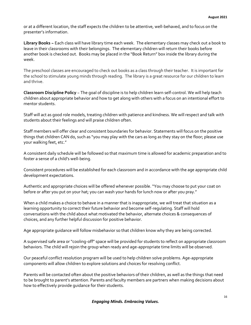or at a different location, the staff expects the children to be attentive, well-behaved, and to focus on the presenter's information.

**Library Books ~** Each class will have library time each week. The elementary classes may check out a book to leave in their classrooms with their belongings. The elementary children will return their books before another book is checked out. Books may be placed in the "Book Return" box inside the library during the week.

The preschool classes are encouraged to check out books as a class through their teacher. It is important for the school to stimulate young minds through reading. The library is a great resource for our children to learn and thrive.

**Classroom Discipline Policy** ~ The goal of discipline is to help children learn self-control. We will help teach children about appropriate behavior and how to get along with others with a focus on an intentional effort to mentor students.

Staff will act as good role models, treating children with patience and kindness. We will respect and talk with students about their feelings and will praise children often.

Staff members will offer clear and consistent boundaries for behavior. Statements will focus on the positive things that children CAN do, such as "you may play with the cars as long as they stay on the floor; please use your walking feet, etc."

A consistent daily schedule will be followed so that maximum time is allowed for academic preparation and to foster a sense of a child's well-being.

Consistent procedures will be established for each classroom and in accordance with the age appropriate child development expectations.

Authentic and appropriate choices will be offered whenever possible. "You may choose to put your coat on before or after you put on your hat; you can wash your hands for lunch now or after you pray."

When a child makes a choice to behave in a manner that is inappropriate, we will treat that situation as a learning opportunity to correct their future behavior and become self-regulating. Staff will hold conversations with the child about what motivated the behavior, alternate choices & consequences of choices, and any further helpful discussion for positive behavior.

Age appropriate guidance will follow misbehavior so that children know why they are being corrected.

A supervised safe area or "cooling-off" space will be provided for students to reflect on appropriate classroom behaviors. The child will rejoin the group when ready and age-appropriate time limits will be observed.

Our peaceful conflict resolution program will be used to help children solve problems. Age-appropriate components will allow children to explore solutions and choices for resolving conflict.

Parents will be contacted often about the positive behaviors of their children, as well as the things that need to be brought to parent's attention. Parents and faculty members are partners when making decisions about how to effectively provide guidance for their students.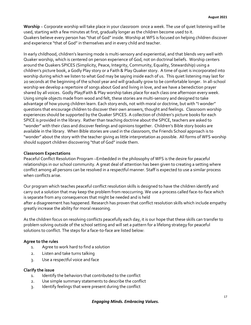**Worship** ~ Corporate worship will take place in your classroom once a week. The use of quiet listening will be used, starting with a few minutes at first, gradually longer as the children become used to it. Quakers believe every person has "that of God" inside. Worship at WFS is focused on helping children discover and experience "that of God" in themselves and in every child and teacher.

In early childhood, children's learning mode is multi-sensory and experiential, and that blends very well with Quaker worship, which is centered on person experience of God, not on doctrinal beliefs. Worship centers around the Quakers SPICES (Simplicity, Peace, Integrity, Community, Equality, Stewardship) using a children's picture book, a Godly Play story or a Faith & Play Quaker story. A time of quiet is incorporated into worship during which we listen to what God may be saying inside each of us. This quiet listening may last for 20 seconds at the beginning of the school year and will gradually grow to be comfortable longer. In all-school worship we develop a repertoire of songs about God and living in love, and we have a benediction prayer shared by all voices. Godly Play/Faith & Play worship takes place for each class one afternoon every week. Using simple objects made from wood and felt, these stories are multi-sensory and designed to take advantage of how young children learn. Each story ends, not with moral or doctrine, but with "I wonder" questions that encourage children to discover their own answers, thought and feelings. Classroom worship experiences should be supported by the Quaker SPICES. A collection of children's picture books for each SPICE is provided in the library. Rather than teaching doctrine about the SPICE, teachers are asked to "wonder" with their class and discover feelings and opinions together. Children's Bible story books are available in the library. When Bible stories are used in the classroom, the Friends School approach is to "wonder" about the story with the teacher giving as little interpretation as possible. All forms of WFS worship should support children discovering "that of God" inside them.

#### **Classroom Expectations**

Peaceful Conflict Resolution Program ~Embedded in the philosophy of WFS is the desire for peaceful relationships in our school community. A great deal of attention has been given to creating a setting where conflict among all persons can be resolved in a respectful manner. Staff is expected to use a similar process when conflicts arise.

Our program which teaches peaceful conflict resolution skills is designed to have the children identify and carry out a solution that may keep the problem from reoccurring. We use a process called face-to-face which is separate from any consequences that might be needed and is held after a disagreement has happened. Research has proven that conflict resolution skills which include empathy greatly increase the ability for moral reasoning.

As the children focus on resolving conflicts peacefully each day, it is our hope that these skills can transfer to problem solving outside of the school setting and will set a pattern for a lifelong strategy for peaceful solutions to conflict. The steps for a face-to-face are listed below:

### **Agree to the rules**

- 1. Agree to work hard to find a solution
- 2. Listen and take turns talking
- 3. Use a respectful voice and face

#### **Clarify the issue**

- 1. Identify the behaviors that contributed to the conflict
- 2. Use simple summary statements to describe the conflict
- 3. Identify feelings that were present during the conflict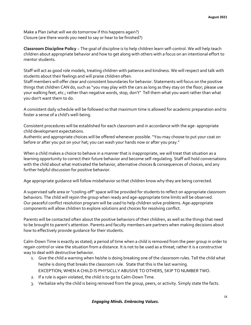Make a Plan (what will we do tomorrow if this happens again?) Closure (are there words you need to say or hear to be finished?)

**Classroom Discipline Policy** ~ The goal of discipline is to help children learn self-control. We will help teach children about appropriate behavior and how to get along with others with a focus on an intentional effort to mentor students.

Staff will act as good role models, treating children with patience and kindness. We will respect and talk with students about their feelings and will praise children often.

Staff members will offer clear and consistent boundaries for behavior. Statements will focus on the positive things that children CAN do, such as "you may play with the cars as long as they stay on the floor; please use your walking feet, etc.; rather than negative words, stop, don't" Tell them what you want rather than what you don't want them to do.

A consistent daily schedule will be followed so that maximum time is allowed for academic preparation and to foster a sense of a child's well-being.

Consistent procedures will be established for each classroom and in accordance with the age- appropriate child development expectations.

Authentic and appropriate choices will be offered whenever possible. "You may choose to put your coat on before or after you put on your hat; you can wash your hands now or after you pray."

When a child makes a choice to behave in a manner that is inappropriate, we will treat that situation as a learning opportunity to correct their future behavior and become self-regulating. Staff will hold conversations with the child about what motivated the behavior, alternative choices & consequences of choices, and any further helpful discussion for positive behavior.

Age appropriate guidance will follow misbehavior so that children know why they are being corrected.

A supervised safe area or "cooling-off" space will be provided for students to reflect on appropriate classroom behaviors. The child will rejoin the group when ready and age-appropriate time limits will be observed. Our peaceful conflict resolution program will be used to help children solve problems. Age-appropriate components will allow children to explore solutions and choices for resolving conflict.

Parents will be contacted often about the positive behaviors of their children, as well as the things that need to be brought to parent's attention. Parents and faculty members are partners when making decisions about how to effectively provide guidance for their students.

Calm-Down Time is exactly as stated; a period of time when a child is removed from the peer group in order to regain control or view the situation from a distance. It is not to be used as a threat; rather it is a constructive way to deal with destructive behavior.

- 1. Give the child a warning when he/she is doing breaking one of the classroom rules. Tell the child what he/she is doing that breaks the classroom rule. State that this is the last warning. EXCEPTION; WHEN A CHILD IS PHYSICLLY ABUSIVE TO OTHERS, SKIP TO NUMBER TWO.
- 2. If a rule is again violated, the child is to go to Calm-Down Time.
- 3. Verbalize why the child is being removed from the group, peers, or activity. Simply state the facts.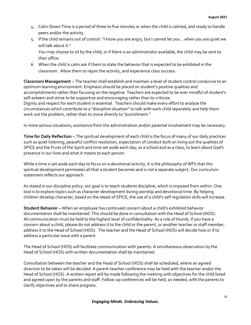- 4. Calm-Down Time is a period of three to five minutes or when the child is calmed, and ready to handle peers and/or the activity.
- 5. If the child remains out of control: "I know you are angry, but I cannot let you… when you are quiet we will talk about it." You may choose to sit by the child, or if there is an administrator available, the child may be sent to their office.
- 6. When the child is calm ask if them to state the behavior that is expected to be exhibited in the classroom. Allow them to rejoin the activity, and experience class success.

**Classroom Management ~** The teacher shall establish and maintain a level of student control conducive to an optimum learning environment. Emphasis should be placed on student's positive qualities and accomplishments rather than focusing on the negative. Teachers are expected to be ever mindful of student's self-esteem and strive to be supportive and encouraging rather than to criticize. Dignity and respect for each student is essential. Teachers should make every effort to analyze the

circumstances which contribute to a "discipline situation" to talk with each child separately and help them work out the problem, rather than to move directly to "punishment."

In more serious situations, assistance from the administration and/or parental involvement may be necessary.

**Time for Daily Reflection ~** The spiritual development of each child is the focus of many of our daily practices such as quiet listening, peaceful conflict resolution, expectation of conduct built on living out the qualities of SPICE and the Fruits of the Spirit and time set aside each day, as a school and as a class, to learn about God's presence in our lives and what it means to each person.

While a time is set aside each day to focus on a devotional activity, it is the philosophy of WFS that this spiritual development permeates all that a student becomes and is not a separate subject. Our curriculum statement reflects our approach.

As stated in our discipline policy, our goal is to teach students discipline, which is imposed from within. One tool is to explore topics such as character development during worship and devotional time. By helping children develop character, based on the ideals of SPICE, the use of a child's self regulation skills will increase.

**Student Behavior ~** When an employee has continued concern about a child's exhibited behavior documentation shall be maintained. This should be done in consultation with the Head of School (HOS). All communication must be held to the highest level of confidentiality. As a rule of thumb, if you have a concern about a child, please do not address it to the child or the parent, or another teacher or staff member, address it to the Head of School (HOS). The teacher and the Head of School (HOS) will decide how or if to address a particular issue with a parent.

The Head of School (HOS) will facilitate communication with parents. A simultaneous observation by the Head of School (HOS) with written documentation shall be maintained.

Consultation between the teacher and the Head of School (HOS) shall be scheduled, where an agreed direction to be taken will be decided. A parent-teacher conference may be held with the teacher and/or the Head of School (HOS). A written report will be made following the meeting with objectives for the child listed and agreed upon by the parents and staff. Follow-up conferences will be held, as needed, with the parents to clarify objectives and to share progress.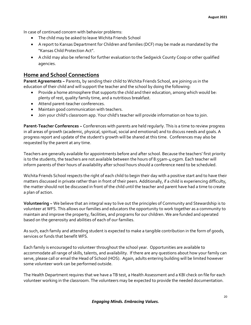In case of continued concern with behavior problems:

- The child may be asked to leave Wichita Friends School
- A report to Kansas Department for Children and families (DCF) may be made as mandated by the "Kansas Child Protection Act".
- A child may also be referred for further evaluation to the Sedgwick County Coop or other qualified agencies.

# **Home and School Connections**

**Parent Agreements ~** Parents, by sending their child to Wichita Friends School, are joining us in the education of their child and will support the teacher and the school by doing the following:

- Provide a home atmosphere that supports the child and their education, among which would be: plenty of rest, quality family time, and a nutritious breakfast.
- Attend parent-teacher conferences.
- Maintain good communication with teachers.
- Join your child's classroom app. Your child's teacher will provide information on how to join.

**Parent-Teacher Conferences ~** Conferences with parents are held regularly. This is a time to review progress in all areas of growth (academic, physical, spiritual, social and emotional) and to discuss needs and goals. A progress report and update of the student's growth will be shared at this time. Conferences may also be requested by the parent at any time.

Teachers are generally available for appointments before and after school. Because the teachers' first priority is to the students, the teachers are not available between the hours of 8:55am-4:05pm. Each teacher will inform parents of their hours of availability after school hours should a conference need to be scheduled.

Wichita Friends School respects the right of each child to begin their day with a positive start and to have their matters discussed in private rather than in front of their peers. Additionally, if a child is experiencing difficulty, the matter should not be discussed in front of the child until the teacher and parent have had a time to create a plan of action.

**Volunteering ~** We believe that an integral way to live out the principles of Community and Stewardship is to volunteer at WFS. This allows our families and educators the opportunity to work together as a community to maintain and improve the property, facilities, and programs for our children. We are funded and operated based on the generosity and abilities of each of our families.

As such, each family and attending student is expected to make a tangible contribution in the form of goods, services or funds that benefit WFS.

Each family is encouraged to volunteer throughout the school year. Opportunities are available to accommodate all range of skills, talents, and availability. If there are any questions about how your family can serve, please call or email the Head of School (HOS). Again, adults entering building will be limited however some volunteer work can be performed outside.

The Health Department requires that we have a TB test, a Health Assessment and a KBI check on file for each volunteer working in the classroom. The volunteers may be expected to provide the needed documentation.